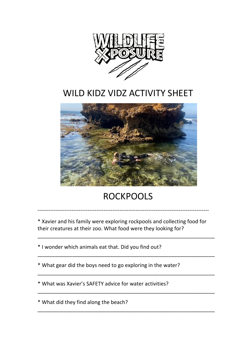

## WILD KIDZ VIDZ ACTIVITY SHEET



## ROCKPOOLS

\* Xavier and his family were exploring rockpools and collecting food for their creatures at their zoo. What food were they looking for?

\_\_\_\_\_\_\_\_\_\_\_\_\_\_\_\_\_\_\_\_\_\_\_\_\_\_\_\_\_\_\_\_\_\_\_\_\_\_\_\_\_\_\_\_\_\_\_\_\_\_\_\_\_\_\_\_\_\_\_\_\_

\_\_\_\_\_\_\_\_\_\_\_\_\_\_\_\_\_\_\_\_\_\_\_\_\_\_\_\_\_\_\_\_\_\_\_\_\_\_\_\_\_\_\_\_\_\_\_\_\_\_\_\_\_\_\_\_\_\_\_\_\_

\_\_\_\_\_\_\_\_\_\_\_\_\_\_\_\_\_\_\_\_\_\_\_\_\_\_\_\_\_\_\_\_\_\_\_\_\_\_\_\_\_\_\_\_\_\_\_\_\_\_\_\_\_\_\_\_\_\_\_\_\_

\_\_\_\_\_\_\_\_\_\_\_\_\_\_\_\_\_\_\_\_\_\_\_\_\_\_\_\_\_\_\_\_\_\_\_\_\_\_\_\_\_\_\_\_\_\_\_\_\_\_\_\_\_\_\_\_\_\_\_\_\_

\_\_\_\_\_\_\_\_\_\_\_\_\_\_\_\_\_\_\_\_\_\_\_\_\_\_\_\_\_\_\_\_\_\_\_\_\_\_\_\_\_\_\_\_\_\_\_\_\_\_\_\_\_\_\_\_\_\_\_\_\_

------------------------------------------------------------------------------------------------

\* I wonder which animals eat that. Did you find out?

\* What gear did the boys need to go exploring in the water?

\* What was Xavier's SAFETY advice for water activities? 

\* What did they find along the beach?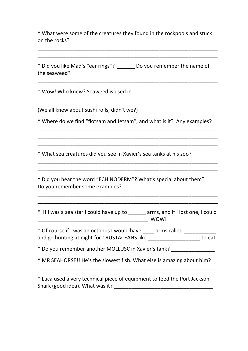\* What were some of the creatures they found in the rockpools and stuck on the rocks?

\_\_\_\_\_\_\_\_\_\_\_\_\_\_\_\_\_\_\_\_\_\_\_\_\_\_\_\_\_\_\_\_\_\_\_\_\_\_\_\_\_\_\_\_\_\_\_\_\_\_\_\_\_\_\_\_\_\_\_\_\_\_ \_\_\_\_\_\_\_\_\_\_\_\_\_\_\_\_\_\_\_\_\_\_\_\_\_\_\_\_\_\_\_\_\_\_\_\_\_\_\_\_\_\_\_\_\_\_\_\_\_\_\_\_\_\_\_\_\_\_\_\_\_\_

\* Did you like Mad's "ear rings"? \_\_\_\_\_\_\_ Do you remember the name of the seaweed? \_\_\_\_\_\_\_\_\_\_\_\_\_\_\_\_\_\_\_\_\_\_\_\_\_\_\_\_\_\_\_\_\_\_\_\_\_\_\_\_\_\_\_\_\_\_\_\_\_\_\_\_\_\_\_\_\_\_\_\_\_\_ \* Wow! Who knew? Seaweed is used in \_\_\_\_\_\_\_\_\_\_\_\_\_\_\_\_\_\_\_\_\_\_\_\_\_\_\_\_\_\_\_\_\_\_\_\_\_\_\_\_\_\_\_\_\_\_\_\_\_\_\_\_\_\_\_\_\_\_\_\_\_\_ (We all knew about sushi rolls, didn't we?) \* Where do we find "flotsam and Jetsam", and what is it? Any examples? \_\_\_\_\_\_\_\_\_\_\_\_\_\_\_\_\_\_\_\_\_\_\_\_\_\_\_\_\_\_\_\_\_\_\_\_\_\_\_\_\_\_\_\_\_\_\_\_\_\_\_\_\_\_\_\_\_\_\_\_\_\_ \_\_\_\_\_\_\_\_\_\_\_\_\_\_\_\_\_\_\_\_\_\_\_\_\_\_\_\_\_\_\_\_\_\_\_\_\_\_\_\_\_\_\_\_\_\_\_\_\_\_\_\_\_\_\_\_\_\_\_\_\_\_ \_\_\_\_\_\_\_\_\_\_\_\_\_\_\_\_\_\_\_\_\_\_\_\_\_\_\_\_\_\_\_\_\_\_\_\_\_\_\_\_\_\_\_\_\_\_\_\_\_\_\_\_\_\_\_\_\_\_\_\_\_\_ \* What sea creatures did you see in Xavier's sea tanks at his zoo? \_\_\_\_\_\_\_\_\_\_\_\_\_\_\_\_\_\_\_\_\_\_\_\_\_\_\_\_\_\_\_\_\_\_\_\_\_\_\_\_\_\_\_\_\_\_\_\_\_\_\_\_\_\_\_\_\_\_\_\_\_\_ \_\_\_\_\_\_\_\_\_\_\_\_\_\_\_\_\_\_\_\_\_\_\_\_\_\_\_\_\_\_\_\_\_\_\_\_\_\_\_\_\_\_\_\_\_\_\_\_\_\_\_\_\_\_\_\_\_\_\_\_\_\_ \* Did you hear the word "ECHINODERM"? What's special about them? Do you remember some examples? \_\_\_\_\_\_\_\_\_\_\_\_\_\_\_\_\_\_\_\_\_\_\_\_\_\_\_\_\_\_\_\_\_\_\_\_\_\_\_\_\_\_\_\_\_\_\_\_\_\_\_\_\_\_\_\_\_\_\_\_\_\_ \_\_\_\_\_\_\_\_\_\_\_\_\_\_\_\_\_\_\_\_\_\_\_\_\_\_\_\_\_\_\_\_\_\_\_\_\_\_\_\_\_\_\_\_\_\_\_\_\_\_\_\_\_\_\_\_\_\_\_\_\_\_ \* If I was a sea star I could have up to \_\_\_\_\_\_ arms, and if I lost one, I could \_\_\_\_\_\_\_\_\_\_\_\_\_\_\_\_\_\_\_\_\_\_\_\_\_\_\_\_\_\_\_\_\_\_\_\_\_\_ WOW! \* Of course if I was an octopus I would have \_\_\_\_ arms called \_\_\_\_\_\_\_\_\_\_ and go hunting at night for CRUSTACEANS like **Landaly and go hunting at night for CRUSTACEANS** like \* Do you remember another MOLLUSC in Xavier's tank? \* MR SEAHORSE!! He's the slowest fish. What else is amazing about him? \_\_\_\_\_\_\_\_\_\_\_\_\_\_\_\_\_\_\_\_\_\_\_\_\_\_\_\_\_\_\_\_\_\_\_\_\_\_\_\_\_\_\_\_\_\_\_\_\_\_\_\_\_\_\_\_\_\_\_\_\_\_

\* Luca used a very technical piece of equipment to feed the Port Jackson Shark (good idea). What was it? Shark (good idea).